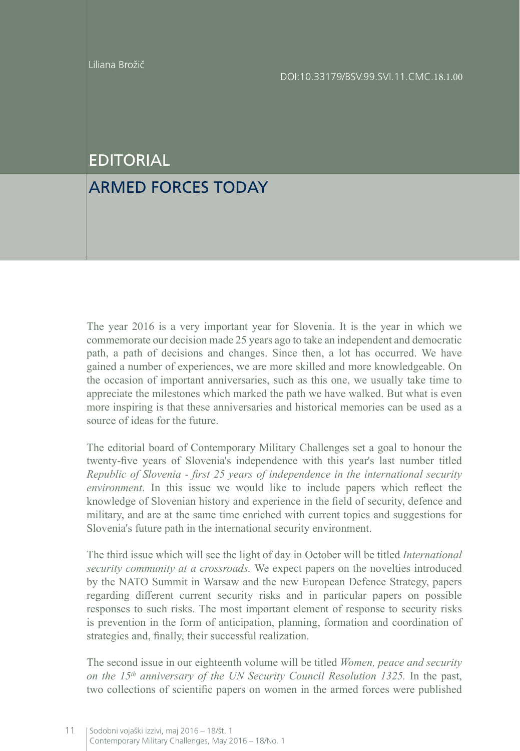## EDITORIAL

## ARMED FORCES TODAY

The year 2016 is a very important year for Slovenia. It is the year in which we commemorate our decision made 25 years ago to take an independent and democratic path, a path of decisions and changes. Since then, a lot has occurred. We have gained a number of experiences, we are more skilled and more knowledgeable. On the occasion of important anniversaries, such as this one, we usually take time to appreciate the milestones which marked the path we have walked. But what is even more inspiring is that these anniversaries and historical memories can be used as a source of ideas for the future.

The editorial board of Contemporary Military Challenges set a goal to honour the twenty-five years of Slovenia's independence with this year's last number titled *Republic of Slovenia - first 25 years of independence in the international security environment*. In this issue we would like to include papers which reflect the knowledge of Slovenian history and experience in the field of security, defence and military, and are at the same time enriched with current topics and suggestions for Slovenia's future path in the international security environment.

The third issue which will see the light of day in October will be titled *International security community at a crossroads.* We expect papers on the novelties introduced by the NATO Summit in Warsaw and the new European Defence Strategy, papers regarding different current security risks and in particular papers on possible responses to such risks. The most important element of response to security risks is prevention in the form of anticipation, planning, formation and coordination of strategies and, finally, their successful realization.

The second issue in our eighteenth volume will be titled *Women, peace and security on the 15th anniversary of the UN Security Council Resolution 1325.* In the past, two collections of scientific papers on women in the armed forces were published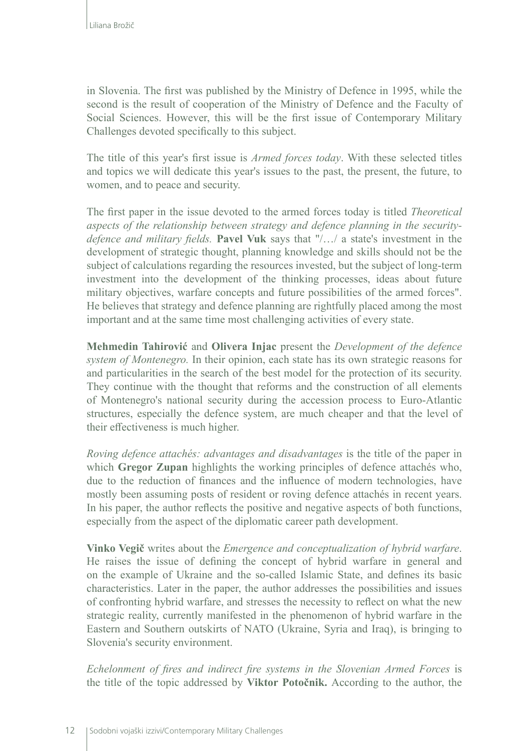in Slovenia. The first was published by the Ministry of Defence in 1995, while the second is the result of cooperation of the Ministry of Defence and the Faculty of Social Sciences. However, this will be the first issue of Contemporary Military Challenges devoted specifically to this subject.

The title of this year's first issue is *Armed forces today*. With these selected titles and topics we will dedicate this year's issues to the past, the present, the future, to women, and to peace and security.

The first paper in the issue devoted to the armed forces today is titled *Theoretical aspects of the relationship between strategy and defence planning in the securitydefence and military fields.* **Pavel Vuk** says that "/…/ a state's investment in the development of strategic thought, planning knowledge and skills should not be the subject of calculations regarding the resources invested, but the subject of long-term investment into the development of the thinking processes, ideas about future military objectives, warfare concepts and future possibilities of the armed forces". He believes that strategy and defence planning are rightfully placed among the most important and at the same time most challenging activities of every state.

**Mehmedin Tahirović** and **Olivera Injac** present the *Development of the defence system of Montenegro.* In their opinion, each state has its own strategic reasons for and particularities in the search of the best model for the protection of its security. They continue with the thought that reforms and the construction of all elements of Montenegro's national security during the accession process to Euro-Atlantic structures, especially the defence system, are much cheaper and that the level of their effectiveness is much higher.

*Roving defence attachés: advantages and disadvantages* is the title of the paper in which **Gregor Zupan** highlights the working principles of defence attachés who, due to the reduction of finances and the influence of modern technologies, have mostly been assuming posts of resident or roving defence attachés in recent years. In his paper, the author reflects the positive and negative aspects of both functions, especially from the aspect of the diplomatic career path development.

**Vinko Vegič** writes about the *Emergence and conceptualization of hybrid warfare*. He raises the issue of defining the concept of hybrid warfare in general and on the example of Ukraine and the so-called Islamic State, and defines its basic characteristics. Later in the paper, the author addresses the possibilities and issues of confronting hybrid warfare, and stresses the necessity to reflect on what the new strategic reality, currently manifested in the phenomenon of hybrid warfare in the Eastern and Southern outskirts of NATO (Ukraine, Syria and Iraq), is bringing to Slovenia's security environment.

*Echelonment of fires and indirect fire systems in the Slovenian Armed Forces is* the title of the topic addressed by **Viktor Potočnik.** According to the author, the